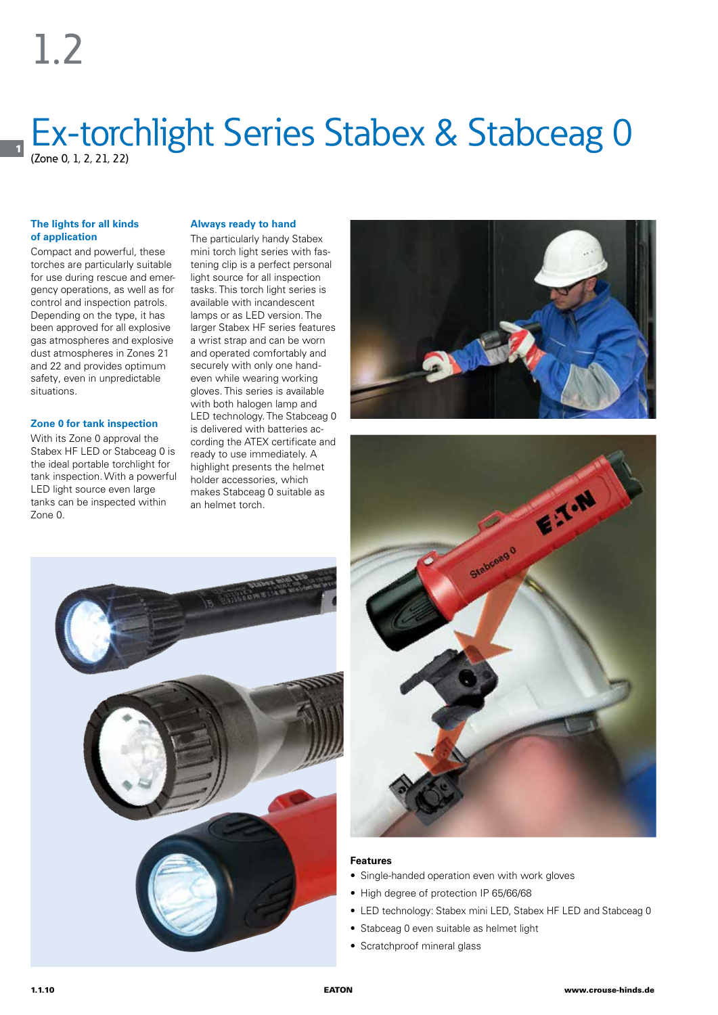1

## Ex-torchlight Series Stabex & Stabceag 0 (Zone 0, 1, 2, 21, 22)

### **The lights for all kinds of application**

Compact and powerful, these torches are particularly suitable for use during rescue and emergency operations, as well as for control and inspection patrols. Depending on the type, it has been approved for all explosive gas atmospheres and explosive dust atmospheres in Zones 21 and 22 and provides optimum safety, even in unpredictable situations.

### **Zone 0 for tank inspection**

With its Zone 0 approval the Stabex HF LED or Stabceag 0 is the ideal portable torchlight for tank inspection. With a powerful LED light source even large tanks can be inspected within Zone 0.

### **Always ready to hand**

The particularly handy Stabex mini torch light series with fastening clip is a perfect personal light source for all inspection tasks. This torch light series is available with incandescent lamps or as LED version. The larger Stabex HF series features a wrist strap and can be worn and operated comfortably and securely with only one handeven while wearing working gloves. This series is available with both halogen lamp and LED technology. The Stabceag 0 is delivered with batteries according the ATEX certificate and ready to use immediately. A highlight presents the helmet holder accessories, which makes Stabceag 0 suitable as an helmet torch.







#### **Features**

- Single-handed operation even with work gloves
- High degree of protection IP 65/66/68
- LED technology: Stabex mini LED, Stabex HF LED and Stabceag 0
- Stabceag 0 even suitable as helmet light
- Scratchproof mineral glass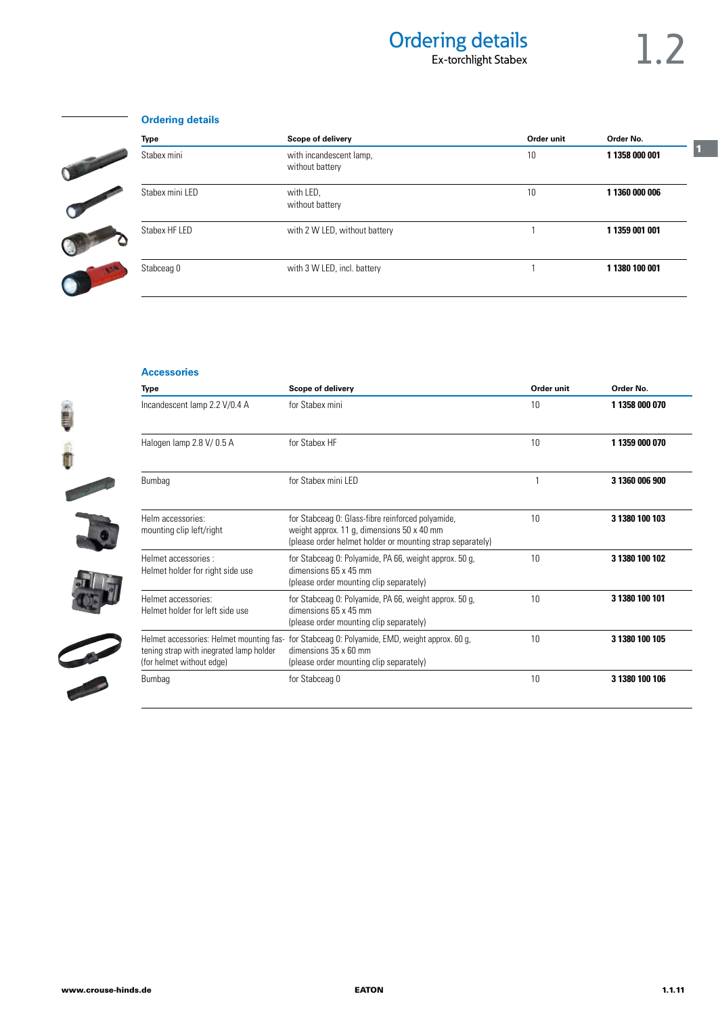### Ordering details<br>Ex-torchlight Stabex<br>1.2 Ex-torchlight Stabex

## **Ordering details**



| <b>Type</b>     | Scope of delivery                          |    | Order No.                        |  |
|-----------------|--------------------------------------------|----|----------------------------------|--|
| Stabex mini     | with incandescent lamp,<br>without battery | 10 | 1 1358 000 001<br>1 1360 000 006 |  |
| Stabex mini LED | with LED,<br>without battery               | 10 |                                  |  |
| Stabex HF LED   | with 2 W LED, without battery              |    | 1 1359 001 001                   |  |
| Stabceag 0      | with 3 W LED, incl. battery                |    | 1 1380 100 001                   |  |

### **Accessories**









| Incandescent lamp 2.2 V/0.4 A                                                                                    | for Stabex mini                                                                                                                                              | 10 | 1 1358 000 070 |  |
|------------------------------------------------------------------------------------------------------------------|--------------------------------------------------------------------------------------------------------------------------------------------------------------|----|----------------|--|
| Halogen lamp 2.8 V/0.5 A                                                                                         | for Stabex HF                                                                                                                                                | 10 | 1 1359 000 070 |  |
| Bumbag                                                                                                           | for Stabex mini LED                                                                                                                                          |    | 3 1360 006 900 |  |
| Helm accessories:<br>mounting clip left/right                                                                    | for Stabceag 0: Glass-fibre reinforced polyamide,<br>weight approx. 11 g, dimensions 50 x 40 mm<br>(please order helmet holder or mounting strap separately) | 10 | 3 1380 100 103 |  |
| Helmet accessories :<br>Helmet holder for right side use                                                         | for Stabceag 0: Polyamide, PA 66, weight approx. 50 g,<br>dimensions 65 x 45 mm<br>(please order mounting clip separately)                                   | 10 | 3 1380 100 102 |  |
| Helmet accessories:<br>Helmet holder for left side use                                                           | for Stabceag 0: Polyamide, PA 66, weight approx. 50 g,<br>dimensions 65 x 45 mm<br>(please order mounting clip separately)                                   | 10 | 3 1380 100 101 |  |
| Helmet accessories: Helmet mounting fas-<br>tening strap with inegrated lamp holder<br>(for helmet without edge) | for Stabceag O: Polyamide, EMD, weight approx. 60 g,<br>dimensions 35 x 60 mm<br>(please order mounting clip separately)                                     | 10 | 3 1380 100 105 |  |
| Bumbag                                                                                                           | for Stabceag 0                                                                                                                                               | 10 | 3 1380 100 106 |  |

**Type Scope of delivery Scope of delivery Conder Accord Bullet Conder In the Conder No.**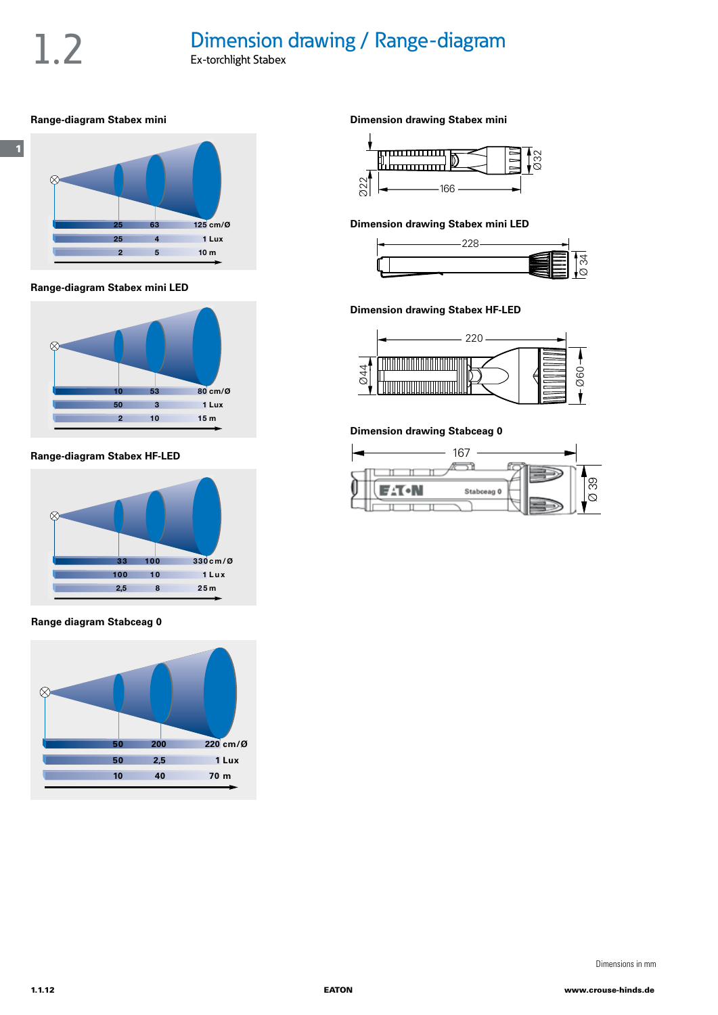# 1.2 Dimension drawing / Range-diagram

### **Range-diagram Stabex mini**



**Range-diagram Stabex mini LED**



**Range-diagram Stabex HF-LED**



### **Range diagram Stabceag 0**



**Dimension drawing Stabex mini**



### **Dimension drawing Stabex mini LED**



### **Dimension drawing Stabex HF-LED**



### **Dimension drawing Stabceag 0**